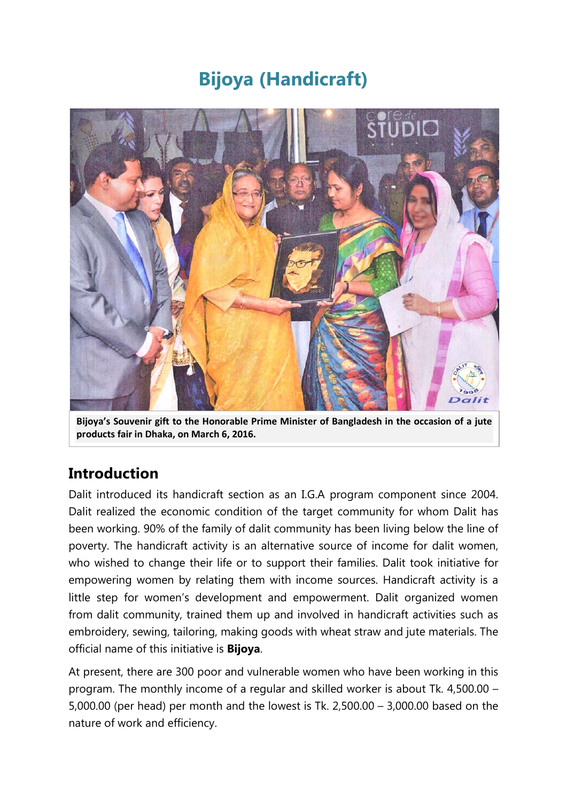# **Bijoya (Handicraft)**



**Bijoya's Souvenir gift to the Honorable Prime Minister of Bangladesh in the occasion of a jute products fair in Dhaka, on March 6, 2016.**

#### **Introduction**

Dalit introduced its handicraft section as an I.G.A program component since 2004. Dalit realized the economic condition of the target community for whom Dalit has been working. 90% of the family of dalit community has been living below the line of poverty. The handicraft activity is an alternative source of income for dalit women, who wished to change their life or to support their families. Dalit took initiative for empowering women by relating them with income sources. Handicraft activity is a little step for women's development and empowerment. Dalit organized women from dalit community, trained them up and involved in handicraft activities such as embroidery, sewing, tailoring, making goods with wheat straw and jute materials. The official name of this initiative is **Bijoya**.

At present, there are 300 poor and vulnerable women who have been working in this program. The monthly income of a regular and skilled worker is about Tk. 4,500.00 – 5,000.00 (per head) per month and the lowest is Tk. 2,500.00 – 3,000.00 based on the nature of work and efficiency.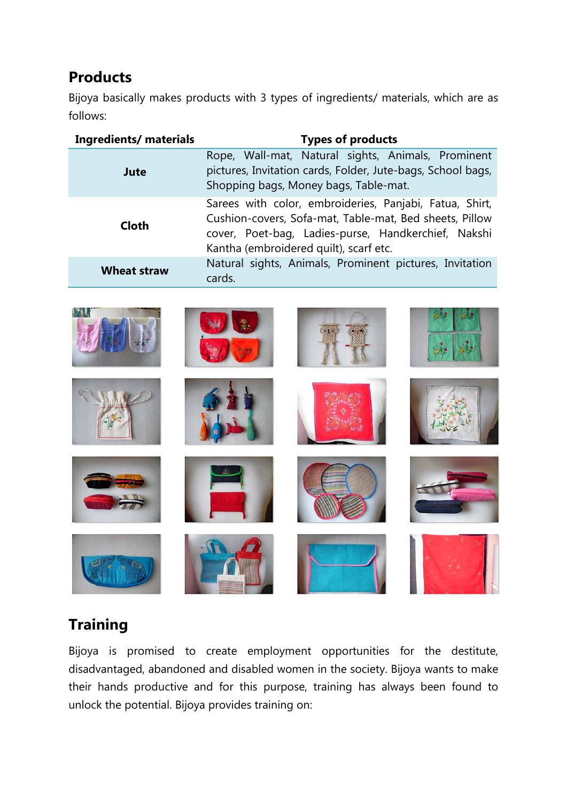# **Products**

Bijoya basically makes products with 3 types of ingredients/ materials, which are as follows:

| <b>Ingredients/ materials</b> | <b>Types of products</b>                                                                                                                                                                                            |
|-------------------------------|---------------------------------------------------------------------------------------------------------------------------------------------------------------------------------------------------------------------|
| Jute                          | Rope, Wall-mat, Natural sights, Animals, Prominent<br>pictures, Invitation cards, Folder, Jute-bags, School bags,<br>Shopping bags, Money bags, Table-mat.                                                          |
| <b>Cloth</b>                  | Sarees with color, embroideries, Panjabi, Fatua, Shirt,<br>Cushion-covers, Sofa-mat, Table-mat, Bed sheets, Pillow<br>cover, Poet-bag, Ladies-purse, Handkerchief, Nakshi<br>Kantha (embroidered quilt), scarf etc. |
| <b>Wheat straw</b>            | Natural sights, Animals, Prominent pictures, Invitation<br>cards.                                                                                                                                                   |



### **Training**

Bijoya is promised to create employment opportunities for the destitute, disadvantaged, abandoned and disabled women in the society. Bijoya wants to make their hands productive and for this purpose, training has always been found to unlock the potential. Bijoya provides training on: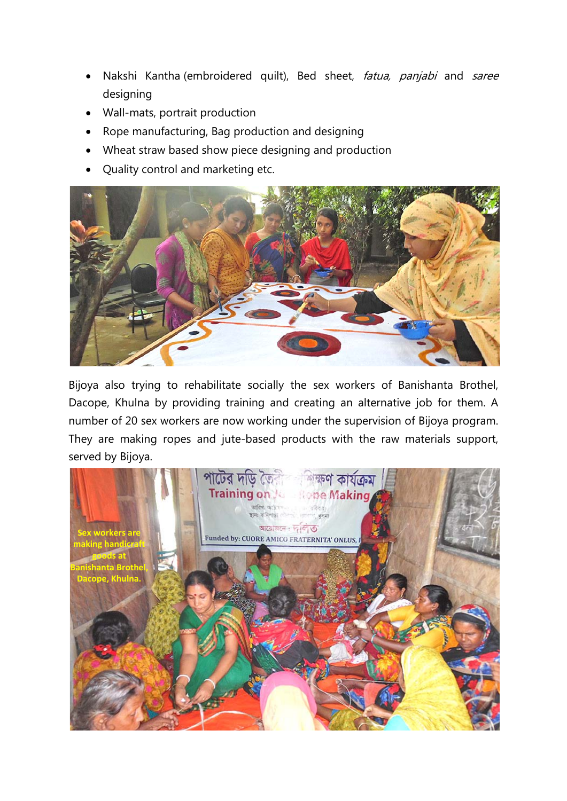- Nakshi Kantha (embroidered quilt), Bed sheet, fatua, panjabi and saree designing
- Wall-mats, portrait production
- Rope manufacturing, Bag production and designing
- Wheat straw based show piece designing and production
- Quality control and marketing etc.



Bijoya also trying to rehabilitate socially the sex workers of Banishanta Brothel, Dacope, Khulna by providing training and creating an alternative job for them. A number of 20 sex workers are now working under the supervision of Bijoya program. They are making ropes and jute-based products with the raw materials support, served by Bijoya.